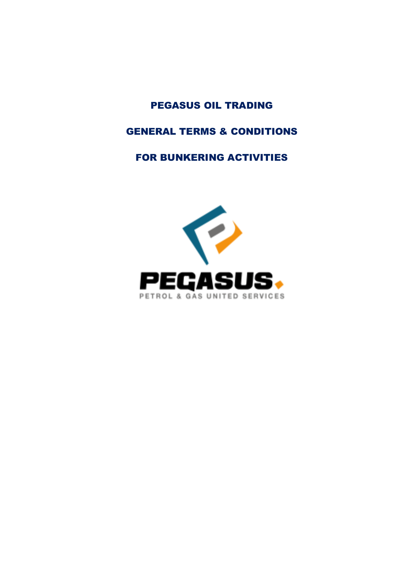# PEGASUS OIL TRADING

# GENERAL TERMS & CONDITIONS

# FOR BUNKERING ACTIVITIES

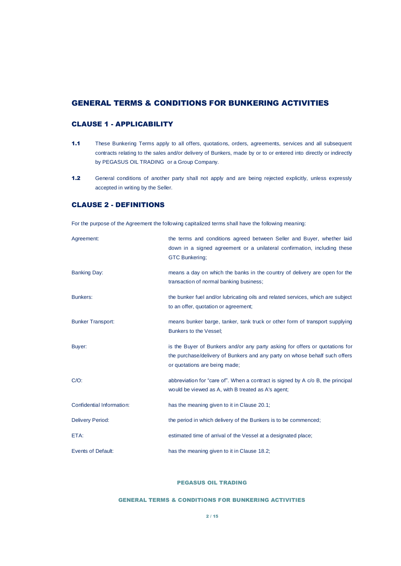# GENERAL TERMS & CONDITIONS FOR BUNKERING ACTIVITIES

# CLAUSE 1 - APPLICABILITY

- 1.1 These Bunkering Terms apply to all offers, quotations, orders, agreements, services and all subsequent contracts relating to the sales and/or delivery of Bunkers, made by or to or entered into directly or indirectly by PEGASUS OIL TRADING or a Group Company.
- 1.2 General conditions of another party shall not apply and are being rejected explicitly, unless expressly accepted in writing by the Seller.

# CLAUSE 2 - DEFINITIONS

For the purpose of the Agreement the following capitalized terms shall have the following meaning:

| Agreement:                | the terms and conditions agreed between Seller and Buyer, whether laid<br>down in a signed agreement or a unilateral confirmation, including these<br><b>GTC Bunkering;</b>                 |
|---------------------------|---------------------------------------------------------------------------------------------------------------------------------------------------------------------------------------------|
| <b>Banking Day:</b>       | means a day on which the banks in the country of delivery are open for the<br>transaction of normal banking business;                                                                       |
| <b>Bunkers:</b>           | the bunker fuel and/or lubricating oils and related services, which are subject<br>to an offer, quotation or agreement;                                                                     |
| <b>Bunker Transport:</b>  | means bunker barge, tanker, tank truck or other form of transport supplying<br>Bunkers to the Vessel;                                                                                       |
| Buyer:                    | is the Buyer of Bunkers and/or any party asking for offers or quotations for<br>the purchase/delivery of Bunkers and any party on whose behalf such offers<br>or quotations are being made; |
| $C/O$ :                   | abbreviation for "care of". When a contract is signed by A c/o B, the principal<br>would be viewed as A, with B treated as A's agent;                                                       |
| Confidential Information: | has the meaning given to it in Clause 20.1;                                                                                                                                                 |
| <b>Delivery Period:</b>   | the period in which delivery of the Bunkers is to be commenced;                                                                                                                             |
| ETA:                      | estimated time of arrival of the Vessel at a designated place;                                                                                                                              |
| <b>Events of Default:</b> | has the meaning given to it in Clause 18.2;                                                                                                                                                 |

# PEGASUS OIL TRADING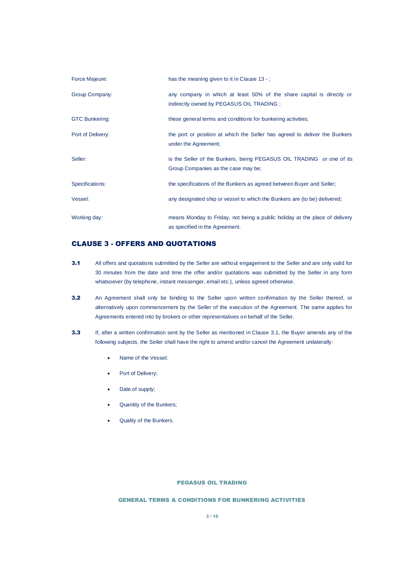| Force Majeure:        | has the meaning given to it in Clause 13 -;                                                                        |
|-----------------------|--------------------------------------------------------------------------------------------------------------------|
| Group Company:        | any company in which at least 50% of the share capital is directly or<br>indirectly owned by PEGASUS OIL TRADING ; |
| <b>GTC Bunkering:</b> | these general terms and conditions for bunkering activities;                                                       |
| Port of Delivery:     | the port or position at which the Seller has agreed to deliver the Bunkers<br>under the Agreement;                 |
| Seller:               | is the Seller of the Bunkers, being PEGASUS OIL TRADING or one of its<br>Group Companies as the case may be;       |
| Specifications:       | the specifications of the Bunkers as agreed between Buyer and Seller;                                              |
| Vessel:               | any designated ship or vessel to which the Bunkers are (to be) delivered;                                          |
| Working day:          | means Monday to Friday, not being a public holiday at the place of delivery<br>as specified in the Agreement.      |

# CLAUSE 3 - OFFERS AND QUOTATIONS

- <span id="page-2-0"></span>3.1 All offers and quotations submitted by the Seller are without engagement to the Seller and are only valid for 30 minutes from the date and time the offer and/or quotations was submitted by the Seller in any form whatsoever (by telephone, instant messenger, email etc.), unless agreed otherwise.
- 3.2 An Agreement shall only be binding to the Seller upon written confirmation by the Seller thereof, or alternatively upon commencement by the Seller of the execution of the Agreement. The same applies for Agreements entered into by brokers or other representatives on behalf of the Seller.
- 3.3 If, after a written confirmation sent by the Seller as mentioned in Clause [3.1,](#page-2-0) the Buyer amends any of the following subjects, the Seller shall have the right to amend and/or cancel the Agreement unilaterally:
	- Name of the Vessel;
	- Port of Delivery;
	- Date of supply;
	- Quantity of the Bunkers;
	- Quality of the Bunkers.

### PEGASUS OIL TRADING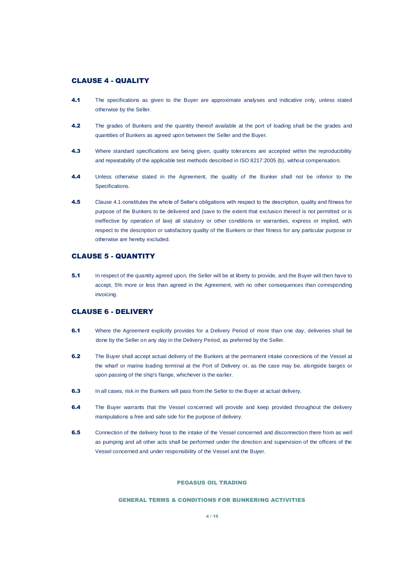# CLAUSE 4 - QUALITY

- <span id="page-3-0"></span>4.1 The specifications as given to the Buyer are approximate analyses and indicative only, unless stated otherwise by the Seller.
- 4.2 The grades of Bunkers and the quantity thereof available at the port of loading shall be the grades and quantities of Bunkers as agreed upon between the Seller and the Buyer.
- 4.3 Where standard specifications are being given, quality tolerances are accepted within the reproducibility and repeatability of the applicable test methods described in ISO 8217:2005 (b), without compensation.
- 4.4 Unless otherwise stated in the Agreement, the quality of the Bunker shall not be inferior to the Specifications.
- 4.5 Clause [4.1](#page-3-0) constitutes the whole of Seller's obligations with respect to the description, quality and fitness for purpose of the Bunkers to be delivered and (save to the extent that exclusion thereof is not permitted or is ineffective by operation of law) all statutory or other conditions or warranties, express or implied, with respect to the description or satisfactory quality of the Bunkers or their fitness for any particular purpose or otherwise are hereby excluded.

### CLAUSE 5 - QUANTITY

**5.1** In respect of the quantity agreed upon, the Seller will be at liberty to provide, and the Buyer will then have to accept, 5% more or less than agreed in the Agreement, with no other consequences than corresponding invoicing.

### CLAUSE 6 - DELIVERY

- 6.1 Where the Agreement explicitly provides for a Delivery Period of more than one day, deliveries shall be done by the Seller on any day in the Delivery Period, as preferred by the Seller.
- 6.2 The Buyer shall accept actual delivery of the Bunkers at the permanent intake connections of the Vessel at the wharf or marine loading terminal at the Port of Delivery or, as the case may be, alongside barges or upon passing of the ship's flange, whichever is the earlier.
- 6.3 In all cases, risk in the Bunkers will pass from the Seller to the Buyer at actual delivery.
- 6.4 The Buyer warrants that the Vessel concerned will provide and keep provided throughout the delivery manipulations a free and safe side for the purpose of delivery.
- 6.5 Connection of the delivery hose to the intake of the Vessel concerned and disconnection there from as well as pumping and all other acts shall be performed under the direction and supervision of the officers of the Vessel concerned and under responsibility of the Vessel and the Buyer.

### PEGASUS OIL TRADING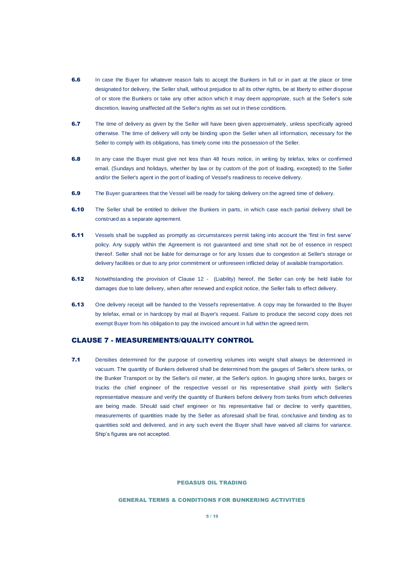- **6.6** In case the Buyer for whatever reason fails to accept the Bunkers in full or in part at the place or time designated for delivery, the Seller shall, without prejudice to all its other rights, be at liberty to either dispose of or store the Bunkers or take any other action which it may deem appropriate, such at the Seller's sole discretion, leaving unaffected all the Seller's rights as set out in these conditions.
- 6.7 The time of delivery as given by the Seller will have been given approximately, unless specifically agreed otherwise. The time of delivery will only be binding upon the Seller when all information, necessary for the Seller to comply with its obligations, has timely come into the possession of the Seller.
- 6.8 In any case the Buyer must give not less than 48 hours notice, in writing by telefax, telex or confirmed email, (Sundays and holidays, whether by law or by custom of the port of loading, excepted) to the Seller and/or the Seller's agent in the port of loading of Vessel's readiness to receive delivery.
- 6.9 The Buyer guarantees that the Vessel will be ready for taking delivery on the agreed time of delivery.
- **6.10** The Seller shall be entitled to deliver the Bunkers in parts, in which case each partial delivery shall be construed as a separate agreement.
- 6.11 Vessels shall be supplied as promptly as circumstances permit taking into account the 'first in first serve' policy. Any supply within the Agreement is not guaranteed and time shall not be of essence in respect thereof. Seller shall not be liable for demurrage or for any losses due to congestion at Seller's storage or delivery facilities or due to any prior commitment or unforeseen inflicted delay of available transportation.
- 6.12 Notwithstanding the provision of [Clause 12 -](#page-7-0) (Liability) hereof, the Seller can only be held liable for damages due to late delivery, when after renewed and explicit notice, the Seller fails to effect delivery.
- **6.13** One delivery receipt will be handed to the Vessel's representative. A copy may be forwarded to the Buyer by telefax, email or in hardcopy by mail at Buyer's request. Failure to produce the second copy does not exempt Buyer from his obligation to pay the invoiced amount in full within the agreed term.

### CLAUSE 7 - MEASUREMENTS/QUALITY CONTROL

7.1 Densities determined for the purpose of converting volumes into weight shall always be determined in vacuum. The quantity of Bunkers delivered shall be determined from the gauges of Seller's shore tanks, or the Bunker Transport or by the Seller's oil meter, at the Seller's option. In gauging shore tanks, barges or trucks the chief engineer of the respective vessel or his representative shall jointly with Seller's representative measure and verify the quantity of Bunkers before delivery from tanks from which deliveries are being made. Should said chief engineer or his representative fail or decline to verify quantities, measurements of quantities made by the Seller as aforesaid shall be final, conclusive and binding as to quantities sold and delivered, and in any such event the Buyer shall have waived all claims for variance. Ship's figures are not accepted.

#### PEGASUS OIL TRADING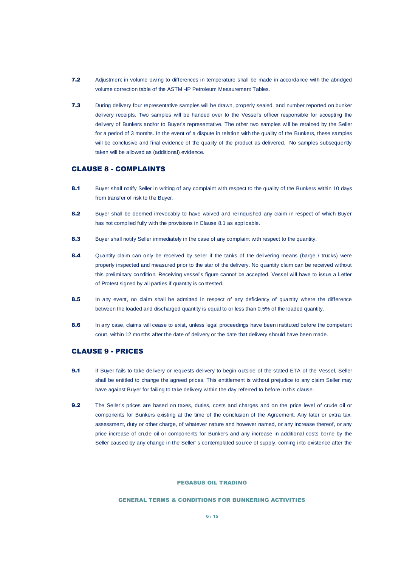- 7.2 Adjustment in volume owing to differences in temperature shall be made in accordance with the abridged volume correction table of the ASTM -IP Petroleum Measurement Tables.
- 7.3 During delivery four representative samples will be drawn, properly sealed, and number reported on bunker delivery receipts. Two samples will be handed over to the Vessel's officer responsible for accepting the delivery of Bunkers and/or to Buyer's representative. The other two samples will be retained by the Seller for a period of 3 months. In the event of a dispute in relation with the quality of the Bunkers, these samples will be conclusive and final evidence of the quality of the product as delivered. No samples subsequently taken will be allowed as (additional) evidence.

# CLAUSE 8 - COMPLAINTS

- <span id="page-5-0"></span>8.1 Buyer shall notify Seller in writing of any complaint with respect to the quality of the Bunkers within 10 days from transfer of risk to the Buyer.
- 8.2 Buyer shall be deemed irrevocably to have waived and relinquished any claim in respect of which Buyer has not complied fully with the provisions in Clause [8.1](#page-5-0) as applicable.
- 8.3 Buyer shall notify Seller immediately in the case of any complaint with respect to the quantity.
- 8.4 Quantity claim can only be received by seller if the tanks of the delivering means (barge / trucks) were properly inspected and measured prior to the star of the delivery. No quantity claim can be received without this preliminary condition. Receiving vessel's figure cannot be accepted. Vessel will have to issue a Letter of Protest signed by all parties if quantity is contested.
- 8.5 In any event, no claim shall be admitted in respect of any deficiency of quantity where the difference between the loaded and discharged quantity is equal to or less than 0.5% of the loaded quantity.
- 8.6 In any case, claims will cease to exist, unless legal proceedings have been instituted before the competent court, within 12 months after the date of delivery or the date that delivery should have been made.

### CLAUSE 9 - PRICES

- 9.1 If Buyer fails to take delivery or requests delivery to begin outside of the stated ETA of the Vessel, Seller shall be entitled to change the agreed prices. This entitlement is without prejudice to any claim Seller may have against Buyer for failing to take delivery within the day referred to before in this clause.
- 9.2 The Seller's prices are based on taxes, duties, costs and charges and on the price level of crude oil or components for Bunkers existing at the time of the conclusion of the Agreement. Any later or extra tax, assessment, duty or other charge, of whatever nature and however named, or any increase thereof, or any price increase of crude oil or components for Bunkers and any increase in additional costs borne by the Seller caused by any change in the Seller' s contemplated source of supply, coming into existence after the

#### PEGASUS OIL TRADING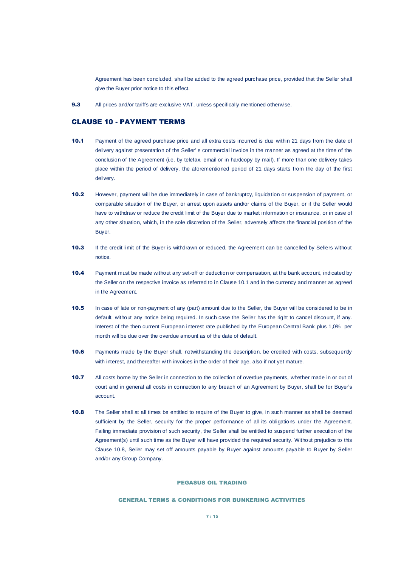Agreement has been concluded, shall be added to the agreed purchase price, provided that the Seller shall give the Buyer prior notice to this effect.

9.3 All prices and/or tariffs are exclusive VAT, unless specifically mentioned otherwise.

# CLAUSE 10 - PAYMENT TERMS

- <span id="page-6-0"></span>10.1 Payment of the agreed purchase price and all extra costs incurred is due within 21 days from the date of delivery against presentation of the Seller' s commercial invoice in the manner as agreed at the time of the conclusion of the Agreement (i.e. by telefax, email or in hardcopy by mail). If more than one delivery takes place within the period of delivery, the aforementioned period of 21 days starts from the day of the first delivery.
- 10.2 However, payment will be due immediately in case of bankruptcy, liquidation or suspension of payment, or comparable situation of the Buyer, or arrest upon assets and/or claims of the Buyer, or if the Seller would have to withdraw or reduce the credit limit of the Buyer due to market information or insurance, or in case of any other situation, which, in the sole discretion of the Seller, adversely affects the financial position of the Buyer.
- 10.3 If the credit limit of the Buyer is withdrawn or reduced, the Agreement can be cancelled by Sellers without notice.
- 10.4 Payment must be made without any set-off or deduction or compensation, at the bank account, indicated by the Seller on the respective invoice as referred to in Clause [10.1](#page-6-0) and in the currency and manner as agreed in the Agreement.
- 10.5 In case of late or non-payment of any (part) amount due to the Seller, the Buyer will be considered to be in default, without any notice being required. In such case the Seller has the right to cancel discount, if any. Interest of the then current European interest rate published by the European Central Bank plus 1,0% per month will be due over the overdue amount as of the date of default.
- 10.6 Payments made by the Buyer shall, notwithstanding the description, be credited with costs, subsequently with interest, and thereafter with invoices in the order of their age, also if not yet mature.
- 10.7 All costs borne by the Seller in connection to the collection of overdue payments, whether made in or out of court and in general all costs in connection to any breach of an Agreement by Buyer, shall be for Buyer's account.
- <span id="page-6-1"></span>10.8 The Seller shall at all times be entitled to require of the Buyer to give, in such manner as shall be deemed sufficient by the Seller, security for the proper performance of all its obligations under the Agreement. Failing immediate provision of such security, the Seller shall be entitled to suspend further execution of the Agreement(s) until such time as the Buyer will have provided the required security. Without prejudice to this Clause [10.8,](#page-6-1) Seller may set off amounts payable by Buyer against amounts payable to Buyer by Seller and/or any Group Company.

#### PEGASUS OIL TRADING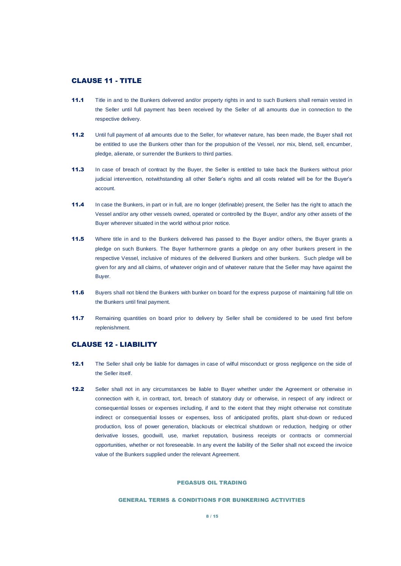# CLAUSE 11 - TITLE

- 11.1 Title in and to the Bunkers delivered and/or property rights in and to such Bunkers shall remain vested in the Seller until full payment has been received by the Seller of all amounts due in connection to the respective delivery.
- 11.2 Until full payment of all amounts due to the Seller, for whatever nature, has been made, the Buyer shall not be entitled to use the Bunkers other than for the propulsion of the Vessel, nor mix, blend, sell, encumber, pledge, alienate, or surrender the Bunkers to third parties.
- 11.3 In case of breach of contract by the Buyer, the Seller is entitled to take back the Bunkers without prior judicial intervention, notwithstanding all other Seller's rights and all costs related will be for the Buyer's account.
- 11.4 In case the Bunkers, in part or in full, are no longer (definable) present, the Seller has the right to attach the Vessel and/or any other vessels owned, operated or controlled by the Buyer, and/or any other assets of the Buyer wherever situated in the world without prior notice.
- 11.5 Where title in and to the Bunkers delivered has passed to the Buyer and/or others, the Buyer grants a pledge on such Bunkers. The Buyer furthermore grants a pledge on any other bunkers present in the respective Vessel, inclusive of mixtures of the delivered Bunkers and other bunkers. Such pledge will be given for any and all claims, of whatever origin and of whatever nature that the Seller may have against the Buyer.
- 11.6 Buyers shall not blend the Bunkers with bunker on board for the express purpose of maintaining full title on the Bunkers until final payment.
- 11.7 Remaining quantities on board prior to delivery by Seller shall be considered to be used first before replenishment.

# <span id="page-7-0"></span>CLAUSE 12 - LIABILITY

- <span id="page-7-1"></span>12.1 The Seller shall only be liable for damages in case of wilful misconduct or gross negligence on the side of the Seller itself.
- <span id="page-7-2"></span>12.2 Seller shall not in any circumstances be liable to Buyer whether under the Agreement or otherwise in connection with it, in contract, tort, breach of statutory duty or otherwise, in respect of any indirect or consequential losses or expenses including, if and to the extent that they might otherwise not constitute indirect or consequential losses or expenses, loss of anticipated profits, plant shut-down or reduced production, loss of power generation, blackouts or electrical shutdown or reduction, hedging or other derivative losses, goodwill, use, market reputation, business receipts or contracts or commercial opportunities, whether or not foreseeable. In any event the liability of the Seller shall not exceed the invoice value of the Bunkers supplied under the relevant Agreement.

### PEGASUS OIL TRADING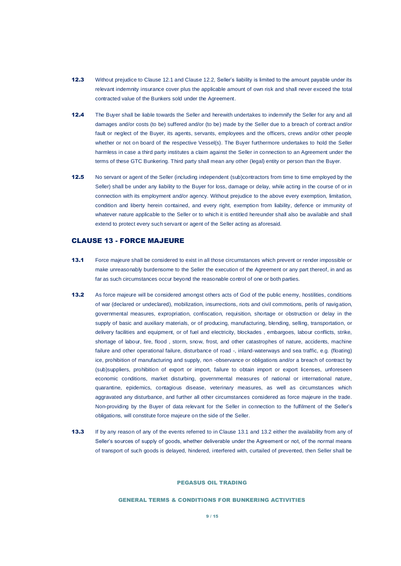- 12.3 Without prejudice to Clause [12.1](#page-7-1) and Clause [12.2,](#page-7-2) Seller's liability is limited to the amount payable under its relevant indemnity insurance cover plus the applicable amount of own risk and shall never exceed the total contracted value of the Bunkers sold under the Agreement.
- 12.4 The Buyer shall be liable towards the Seller and herewith undertakes to indemnify the Seller for any and all damages and/or costs (to be) suffered and/or (to be) made by the Seller due to a breach of contract and/or fault or neglect of the Buyer, its agents, servants, employees and the officers, crews and/or other people whether or not on board of the respective Vessel(s). The Buyer furthermore undertakes to hold the Seller harmless in case a third party institutes a claim against the Seller in connection to an Agreement under the terms of these GTC Bunkering. Third party shall mean any other (legal) entity or person than the Buyer.
- 12.5 No servant or agent of the Seller (including independent (sub)contractors from time to time employed by the Seller) shall be under any liability to the Buyer for loss, damage or delay, while acting in the course of or in connection with its employment and/or agency. Without prejudice to the above every exemption, limitation, condition and liberty herein contained, and every right, exemption from liability, defence or immunity of whatever nature applicable to the Seller or to which it is entitled hereunder shall also be available and shall extend to protect every such servant or agent of the Seller acting as aforesaid.

### <span id="page-8-0"></span>CLAUSE 13 - FORCE MAJEURE

- <span id="page-8-1"></span>13.1 Force majeure shall be considered to exist in all those circumstances which prevent or render impossible or make unreasonably burdensome to the Seller the execution of the Agreement or any part thereof, in and as far as such circumstances occur beyond the reasonable control of one or both parties.
- <span id="page-8-2"></span>13.2 As force majeure will be considered amongst others acts of God of the public enemy, hostilities, conditions of war (declared or undeclared), mobilization, insurrections, riots and civil commotions, perils of navigation, governmental measures, expropriation, confiscation, requisition, shortage or obstruction or delay in the supply of basic and auxiliary materials, or of producing, manufacturing, blending, selling, transportation, or delivery facilities and equipment, or of fuel and electricity, blockades , embargoes, labour conflicts, strike, shortage of labour, fire, flood , storm, snow, frost, and other catastrophes of nature, accidents, machine failure and other operational failure, disturbance of road -, inland-waterways and sea traffic, e.g. (floating) ice, prohibition of manufacturing and supply, non -observance or obligations and/or a breach of contract by (sub)suppliers, prohibition of export or import, failure to obtain import or export licenses, unforeseen economic conditions, market disturbing, governmental measures of national or international nature, quarantine, epidemics, contagious disease, veterinary measures, as well as circumstances which aggravated any disturbance, and further all other circumstances considered as force majeure in the trade. Non-providing by the Buyer of data relevant for the Seller in connection to the fulfilment of the Seller's obligations, will constitute force majeure on the side of the Seller.
- 13.3 If by any reason of any of the events referred to in Clause [13.1](#page-8-1) and [13.2](#page-8-2) either the availability from any of Seller's sources of supply of goods, whether deliverable under the Agreement or not, of the normal means of transport of such goods is delayed, hindered, interfered with, curtailed of prevented, then Seller shall be

#### PEGASUS OIL TRADING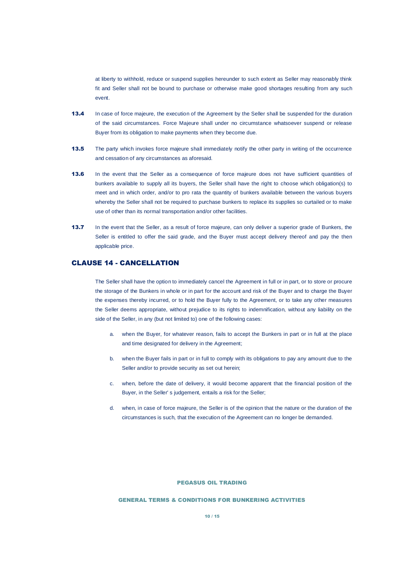at liberty to withhold, reduce or suspend supplies hereunder to such extent as Seller may reasonably think fit and Seller shall not be bound to purchase or otherwise make good shortages resulting from any such event.

- 13.4 In case of force majeure, the execution of the Agreement by the Seller shall be suspended for the duration of the said circumstances. Force Majeure shall under no circumstance whatsoever suspend or release Buyer from its obligation to make payments when they become due.
- **13.5** The party which invokes force majeure shall immediately notify the other party in writing of the occurrence and cessation of any circumstances as aforesaid.
- 13.6 In the event that the Seller as a consequence of force majeure does not have sufficient quantities of bunkers available to supply all its buyers, the Seller shall have the right to choose which obligation(s) to meet and in which order, and/or to pro rata the quantity of bunkers available between the various buyers whereby the Seller shall not be required to purchase bunkers to replace its supplies so curtailed or to make use of other than its normal transportation and/or other facilities.
- 13.7 In the event that the Seller, as a result of force majeure, can only deliver a superior grade of Bunkers, the Seller is entitled to offer the said grade, and the Buyer must accept delivery thereof and pay the then applicable price.

# CLAUSE 14 - CANCELLATION

The Seller shall have the option to immediately cancel the Agreement in full or in part, or to store or procure the storage of the Bunkers in whole or in part for the account and risk of the Buyer and to charge the Buyer the expenses thereby incurred, or to hold the Buyer fully to the Agreement, or to take any other measures the Seller deems appropriate, without prejudice to its rights to indemnification, without any liability on the side of the Seller, in any (but not limited to) one of the following cases:

- a. when the Buyer, for whatever reason, fails to accept the Bunkers in part or in full at the place and time designated for delivery in the Agreement;
- b. when the Buyer fails in part or in full to comply with its obligations to pay any amount due to the Seller and/or to provide security as set out herein;
- c. when, before the date of delivery, it would become apparent that the financial position of the Buyer, in the Seller' s judgement, entails a risk for the Seller;
- d. when, in case of force majeure, the Seller is of the opinion that the nature or the duration of the circumstances is such, that the execution of the Agreement can no longer be demanded.

### PEGASUS OIL TRADING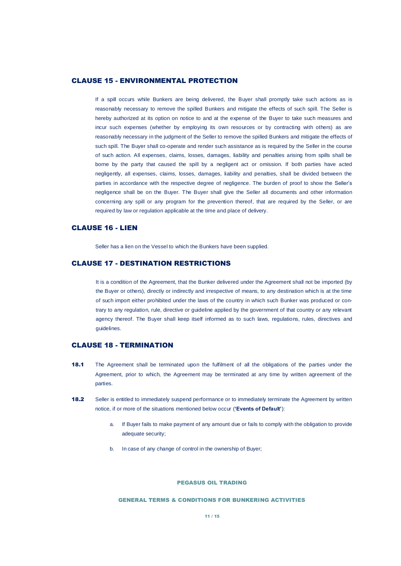### CLAUSE 15 - ENVIRONMENTAL PROTECTION

If a spill occurs while Bunkers are being delivered, the Buyer shall promptly take such actions as is reasonably necessary to remove the spilled Bunkers and mitigate the effects of such spill. The Seller is hereby authorized at its option on notice to and at the expense of the Buyer to take such measures and incur such expenses (whether by employing its own resources or by contracting with others) as are reasonably necessary in the judgment of the Seller to remove the spilled Bunkers and mitigate the effects of such spill. The Buyer shall co-operate and render such assistance as is required by the Seller in the course of such action. All expenses, claims, losses, damages, liability and penalties arising from spills shall be borne by the party that caused the spill by a negligent act or omission. If both parties have acted negligently, all expenses, claims, losses, damages, liability and penalties, shall be divided between the parties in accordance with the respective degree of negligence. The burden of proof to show the Seller's negligence shall be on the Buyer. The Buyer shall give the Seller all documents and other information concerning any spill or any program for the prevention thereof, that are required by the Seller, or are required by law or regulation applicable at the time and place of delivery.

# CLAUSE 16 - LIEN

Seller has a lien on the Vessel to which the Bunkers have been supplied.

# CLAUSE 17 - DESTINATION RESTRICTIONS

It is a condition of the Agreement, that the Bunker delivered under the Agreement shall not be imported (by the Buyer or others), directly or indirectly and irrespective of means, to any destination which is at the time of such import either prohibited under the laws of the country in which such Bunker was produced or contrary to any regulation, rule, directive or guideline applied by the government of that country or any relevant agency thereof. The Buyer shall keep itself informed as to such laws, regulations, rules, directives and guidelines.

### CLAUSE 18 - TERMINATION

- 18.1 The Agreement shall be terminated upon the fulfilment of all the obligations of the parties under the Agreement, prior to which, the Agreement may be terminated at any time by written agreement of the parties.
- <span id="page-10-0"></span>18.2 Seller is entitled to immediately suspend performance or to immediately terminate the Agreement by written notice, if or more of the situations mentioned below occur (**'Events of Default'**):
	- a. If Buyer fails to make payment of any amount due or fails to comply with the obligation to provide adequate security;
	- b. In case of any change of control in the ownership of Buyer;

#### PEGASUS OIL TRADING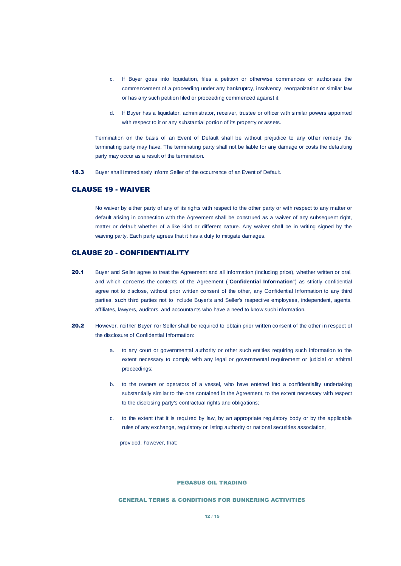- c. If Buyer goes into liquidation, files a petition or otherwise commences or authorises the commencement of a proceeding under any bankruptcy, insolvency, reorganization or similar law or has any such petition filed or proceeding commenced against it;
- d. If Buyer has a liquidator, administrator, receiver, trustee or officer with similar powers appointed with respect to it or any substantial portion of its property or assets.

Termination on the basis of an Event of Default shall be without prejudice to any other remedy the terminating party may have. The terminating party shall not be liable for any damage or costs the defaulting party may occur as a result of the termination.

18.3 Buyer shall immediately inform Seller of the occurrence of an Event of Default.

# CLAUSE 19 - WAIVER

No waiver by either party of any of its rights with respect to the other party or with respect to any matter or default arising in connection with the Agreement shall be construed as a waiver of any subsequent right, matter or default whether of a like kind or different nature. Any waiver shall be in writing signed by the waiving party. Each party agrees that it has a duty to mitigate damages.

# <span id="page-11-2"></span>CLAUSE 20 - CONFIDENTIALITY

- <span id="page-11-0"></span>20.1 Buyer and Seller agree to treat the Agreement and all information (including price), whether written or oral, and which concerns the contents of the Agreement ("**Confidential Information**") as strictly confidential agree not to disclose, without prior written consent of the other, any Confidential Information to any third parties, such third parties not to include Buyer's and Seller's respective employees, independent, agents, affiliates, lawyers, auditors, and accountants who have a need to know such information.
- <span id="page-11-1"></span>20.2 However, neither Buyer nor Seller shall be required to obtain prior written consent of the other in respect of the disclosure of Confidential Information:
	- a. to any court or governmental authority or other such entities requiring such information to the extent necessary to comply with any legal or governmental requirement or judicial or arbitral proceedings;
	- b. to the owners or operators of a vessel, who have entered into a confidentiality undertaking substantially similar to the one contained in the Agreement, to the extent necessary with respect to the disclosing party's contractual rights and obligations;
	- c. to the extent that it is required by law, by an appropriate regulatory body or by the applicable rules of any exchange, regulatory or listing authority or national securities association,

provided, however, that:

### PEGASUS OIL TRADING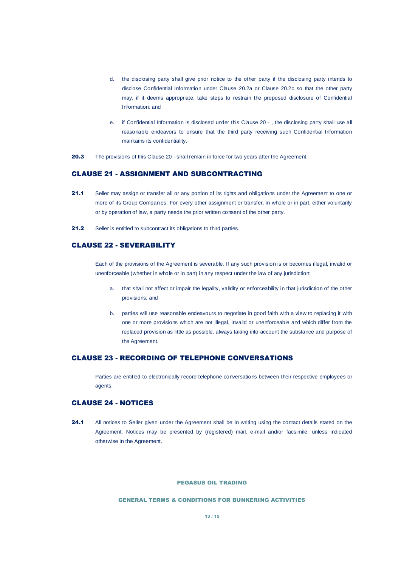- d. the disclosing party shall give prior notice to the other party if the disclosing party intends to disclose Confidential Information under Clause [20.2a](#page-11-1) or Clause [20.2c](#page-11-1) so that the other party may, if it deems appropriate, take steps to restrain the proposed disclosure of Confidential Information; and
- e. if Confidential Information is disclosed under this [Clause 20 -](#page-11-2) , the disclosing party shall use all reasonable endeavors to ensure that the third party receiving such Confidential Information maintains its confidentiality.
- 20.3 The provisions of this [Clause 20 -](#page-11-2) shall remain in force for two years after the Agreement.

### CLAUSE 21 - ASSIGNMENT AND SUBCONTRACTING

- 21.1 Seller may assign or transfer all or any portion of its rights and obligations under the Agreement to one or more of its Group Companies. For every other assignment or transfer, in whole or in part, either voluntarily or by operation of law, a party needs the prior written consent of the other party.
- 21.2 Seller is entitled to subcontract its obligations to third parties.

### CLAUSE 22 - SEVERABILITY

Each of the provisions of the Agreement is severable. If any such provision is or becomes illegal, invalid or unenforceable (whether in whole or in part) in any respect under the law of any jurisdiction:

- a. that shall not affect or impair the legality, validity or enforceability in that jurisdiction of the other provisions; and
- b. parties will use reasonable endeavours to negotiate in good faith with a view to replacing it with one or more provisions which are not illegal, invalid or unenforceable and which differ from the replaced provision as little as possible, always taking into account the substance and purpose of the Agreement.

# CLAUSE 23 - RECORDING OF TELEPHONE CONVERSATIONS

Parties are entitled to electronically record telephone conversations between their respective employees or agents.

### CLAUSE 24 - NOTICES

24.1 All notices to Seller given under the Agreement shall be in writing using the contact details stated on the Agreement. Notices may be presented by (registered) mail, e-mail and/or facsimile, unless indicated otherwise in the Agreement.

### PEGASUS OIL TRADING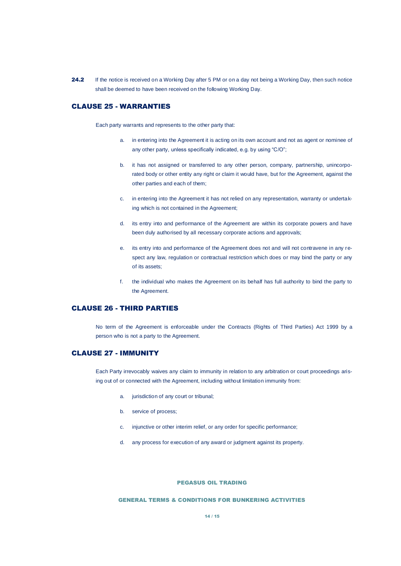24.2 If the notice is received on a Working Day after 5 PM or on a day not being a Working Day, then such notice shall be deemed to have been received on the following Working Day.

# CLAUSE 25 - WARRANTIES

Each party warrants and represents to the other party that:

- a. in entering into the Agreement it is acting on its own account and not as agent or nominee of any other party, unless specifically indicated, e.g. by using "C/O";
- b. it has not assigned or transferred to any other person, company, partnership, unincorporated body or other entity any right or claim it would have, but for the Agreement, against the other parties and each of them;
- c. in entering into the Agreement it has not relied on any representation, warranty or undertaking which is not contained in the Agreement;
- d. its entry into and performance of the Agreement are within its corporate powers and have been duly authorised by all necessary corporate actions and approvals;
- e. its entry into and performance of the Agreement does not and will not contravene in any respect any law, regulation or contractual restriction which does or may bind the party or any of its assets;
- f. the individual who makes the Agreement on its behalf has full authority to bind the party to the Agreement.

# CLAUSE 26 - THIRD PARTIES

No term of the Agreement is enforceable under the Contracts (Rights of Third Parties) Act 1999 by a person who is not a party to the Agreement.

### CLAUSE 27 - IMMUNITY

Each Party irrevocably waives any claim to immunity in relation to any arbitration or court proceedings arising out of or connected with the Agreement, including without limitation immunity from:

- a. jurisdiction of any court or tribunal;
- b. service of process;
- c. injunctive or other interim relief, or any order for specific performance;
- d. any process for execution of any award or judgment against its property.

#### PEGASUS OIL TRADING